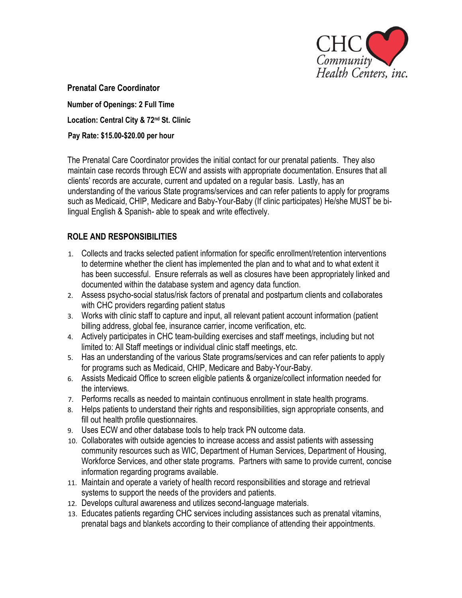

**Prenatal Care Coordinator Number of Openings: 2 Full Time**

**Location: Central City & 72nd St. Clinic**

**Pay Rate: \$15.00-\$20.00 per hour**

The Prenatal Care Coordinator provides the initial contact for our prenatal patients. They also maintain case records through ECW and assists with appropriate documentation. Ensures that all clients' records are accurate, current and updated on a regular basis. Lastly, has an understanding of the various State programs/services and can refer patients to apply for programs such as Medicaid, CHIP, Medicare and Baby-Your-Baby (If clinic participates) He/she MUST be bilingual English & Spanish- able to speak and write effectively.

## **ROLE AND RESPONSIBILITIES**

- 1. Collects and tracks selected patient information for specific enrollment/retention interventions to determine whether the client has implemented the plan and to what and to what extent it has been successful. Ensure referrals as well as closures have been appropriately linked and documented within the database system and agency data function.
- 2. Assess psycho-social status/risk factors of prenatal and postpartum clients and collaborates with CHC providers regarding patient status
- 3. Works with clinic staff to capture and input, all relevant patient account information (patient billing address, global fee, insurance carrier, income verification, etc.
- 4. Actively participates in CHC team-building exercises and staff meetings, including but not limited to: All Staff meetings or individual clinic staff meetings, etc.
- 5. Has an understanding of the various State programs/services and can refer patients to apply for programs such as Medicaid, CHIP, Medicare and Baby-Your-Baby.
- 6. Assists Medicaid Office to screen eligible patients & organize/collect information needed for the interviews.
- 7. Performs recalls as needed to maintain continuous enrollment in state health programs.
- 8. Helps patients to understand their rights and responsibilities, sign appropriate consents, and fill out health profile questionnaires.
- 9. Uses ECW and other database tools to help track PN outcome data.
- 10. Collaborates with outside agencies to increase access and assist patients with assessing community resources such as WIC, Department of Human Services, Department of Housing, Workforce Services, and other state programs. Partners with same to provide current, concise information regarding programs available.
- 11. Maintain and operate a variety of health record responsibilities and storage and retrieval systems to support the needs of the providers and patients.
- 12. Develops cultural awareness and utilizes second-language materials.
- 13. Educates patients regarding CHC services including assistances such as prenatal vitamins, prenatal bags and blankets according to their compliance of attending their appointments.